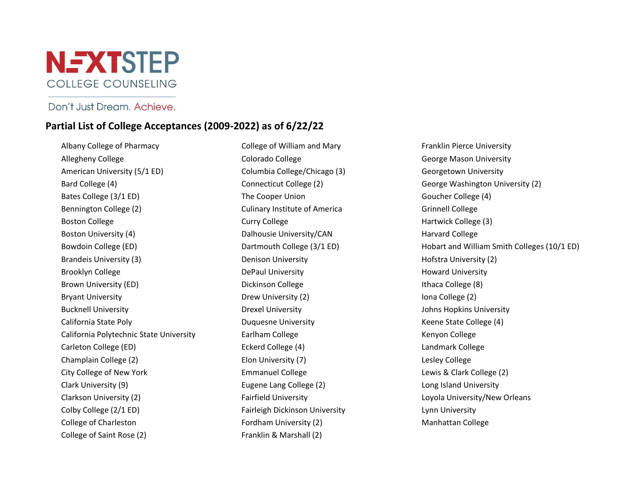

## Don't Just Dream, Achieve.

## **Partial List of College Acceptances (2009-2022) as of 6/22/22**

Albany College of Pharmacy Allegheny College American University (5/1 ED) Bard College (4) Bates College (3/1 ED) Bennington College (2) Boston College Boston University (4) Bowdoin College (ED) Brandeis University (3) Brooklyn College Brown University (ED) Bryant University Bucknell University California State Poly California Polytechnic State University Carleton College (ED) Champlain College (2) City College of New York Clark University (9) Clarkson University (2) Colby College (2/1 ED) College of Charleston College of Saint Rose (2)

College of William and Mary Colorado College Columbia College/Chicago (3) Connecticut College (2) The Cooper Union Culinary Institute of America Curry College Dalhousie University/CAN Dartmouth College (3/1 ED) Denison University DePaul University Dickinson College Drew University (2) Drexel University Duquesne University Earlham College Eckerd College (4) Elon University (7) Emmanuel College Eugene Lang College (2) Fairfield University Fairleigh Dickinson University Fordham University (2) Franklin & Marshall (2)

Franklin Pierce University George Mason University Georgetown University George Washington University (2) Goucher College (4) Grinnell College Hartwick College (3) Harvard College Hobart and William Smith Colleges (10/1 ED) Hofstra University (2) Howard University Ithaca College (8) Iona College (2) Johns Hopkins University Keene State College (4) Kenyon College Landmark College Lesley College Lewis & Clark College (2) Long Island University Loyola University/New Orleans Lynn University Manhattan College